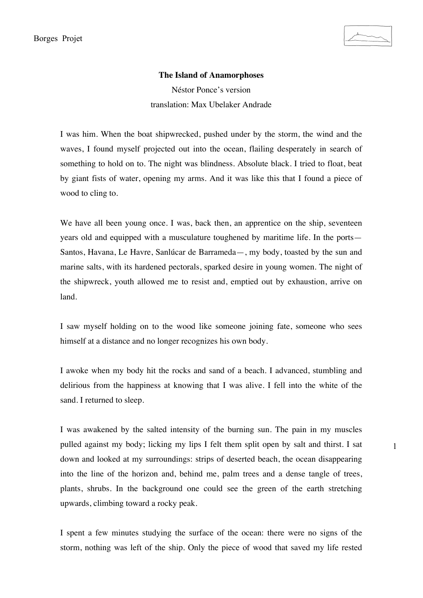1

## **The Island of Anamorphoses**

Néstor Ponce's version translation: Max Ubelaker Andrade

I was him. When the boat shipwrecked, pushed under by the storm, the wind and the waves, I found myself projected out into the ocean, flailing desperately in search of something to hold on to. The night was blindness. Absolute black. I tried to float, beat by giant fists of water, opening my arms. And it was like this that I found a piece of wood to cling to.

We have all been young once. I was, back then, an apprentice on the ship, seventeen years old and equipped with a musculature toughened by maritime life. In the ports— Santos, Havana, Le Havre, Sanlúcar de Barrameda—, my body, toasted by the sun and marine salts, with its hardened pectorals, sparked desire in young women. The night of the shipwreck, youth allowed me to resist and, emptied out by exhaustion, arrive on land.

I saw myself holding on to the wood like someone joining fate, someone who sees himself at a distance and no longer recognizes his own body.

I awoke when my body hit the rocks and sand of a beach. I advanced, stumbling and delirious from the happiness at knowing that I was alive. I fell into the white of the sand. I returned to sleep.

I was awakened by the salted intensity of the burning sun. The pain in my muscles pulled against my body; licking my lips I felt them split open by salt and thirst. I sat down and looked at my surroundings: strips of deserted beach, the ocean disappearing into the line of the horizon and, behind me, palm trees and a dense tangle of trees, plants, shrubs. In the background one could see the green of the earth stretching upwards, climbing toward a rocky peak.

I spent a few minutes studying the surface of the ocean: there were no signs of the storm, nothing was left of the ship. Only the piece of wood that saved my life rested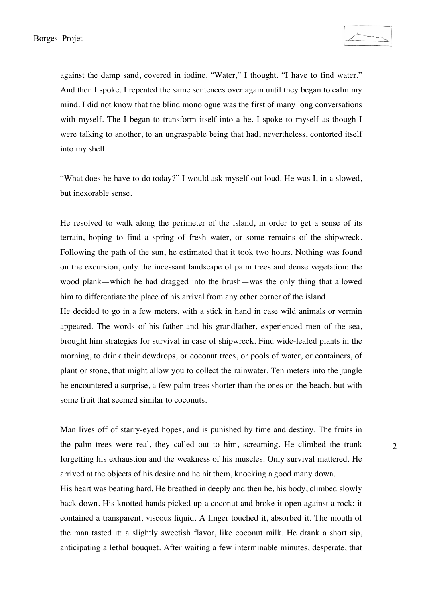against the damp sand, covered in iodine. "Water," I thought. "I have to find water." And then I spoke. I repeated the same sentences over again until they began to calm my mind. I did not know that the blind monologue was the first of many long conversations with myself. The I began to transform itself into a he. I spoke to myself as though I were talking to another, to an ungraspable being that had, nevertheless, contorted itself into my shell.

"What does he have to do today?" I would ask myself out loud. He was I, in a slowed, but inexorable sense.

He resolved to walk along the perimeter of the island, in order to get a sense of its terrain, hoping to find a spring of fresh water, or some remains of the shipwreck. Following the path of the sun, he estimated that it took two hours. Nothing was found on the excursion, only the incessant landscape of palm trees and dense vegetation: the wood plank—which he had dragged into the brush—was the only thing that allowed him to differentiate the place of his arrival from any other corner of the island.

He decided to go in a few meters, with a stick in hand in case wild animals or vermin appeared. The words of his father and his grandfather, experienced men of the sea, brought him strategies for survival in case of shipwreck. Find wide-leafed plants in the morning, to drink their dewdrops, or coconut trees, or pools of water, or containers, of plant or stone, that might allow you to collect the rainwater. Ten meters into the jungle he encountered a surprise, a few palm trees shorter than the ones on the beach, but with some fruit that seemed similar to coconuts.

Man lives off of starry-eyed hopes, and is punished by time and destiny. The fruits in the palm trees were real, they called out to him, screaming. He climbed the trunk forgetting his exhaustion and the weakness of his muscles. Only survival mattered. He arrived at the objects of his desire and he hit them, knocking a good many down.

His heart was beating hard. He breathed in deeply and then he, his body, climbed slowly back down. His knotted hands picked up a coconut and broke it open against a rock: it contained a transparent, viscous liquid. A finger touched it, absorbed it. The mouth of the man tasted it: a slightly sweetish flavor, like coconut milk. He drank a short sip, anticipating a lethal bouquet. After waiting a few interminable minutes, desperate, that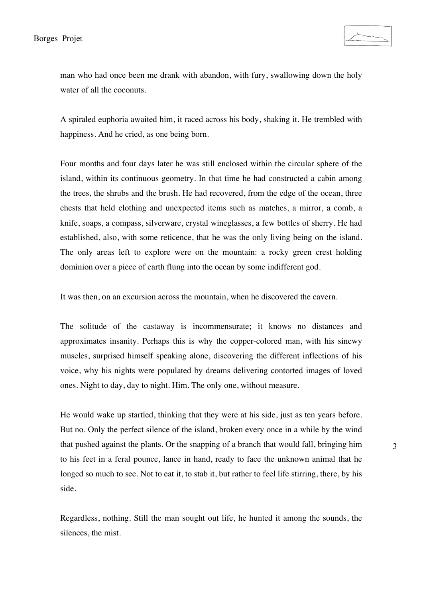man who had once been me drank with abandon, with fury, swallowing down the holy water of all the coconuts.

A spiraled euphoria awaited him, it raced across his body, shaking it. He trembled with happiness. And he cried, as one being born.

Four months and four days later he was still enclosed within the circular sphere of the island, within its continuous geometry. In that time he had constructed a cabin among the trees, the shrubs and the brush. He had recovered, from the edge of the ocean, three chests that held clothing and unexpected items such as matches, a mirror, a comb, a knife, soaps, a compass, silverware, crystal wineglasses, a few bottles of sherry. He had established, also, with some reticence, that he was the only living being on the island. The only areas left to explore were on the mountain: a rocky green crest holding dominion over a piece of earth flung into the ocean by some indifferent god.

It was then, on an excursion across the mountain, when he discovered the cavern.

The solitude of the castaway is incommensurate; it knows no distances and approximates insanity. Perhaps this is why the copper-colored man, with his sinewy muscles, surprised himself speaking alone, discovering the different inflections of his voice, why his nights were populated by dreams delivering contorted images of loved ones. Night to day, day to night. Him. The only one, without measure.

He would wake up startled, thinking that they were at his side, just as ten years before. But no. Only the perfect silence of the island, broken every once in a while by the wind that pushed against the plants. Or the snapping of a branch that would fall, bringing him to his feet in a feral pounce, lance in hand, ready to face the unknown animal that he longed so much to see. Not to eat it, to stab it, but rather to feel life stirring, there, by his side.

Regardless, nothing. Still the man sought out life, he hunted it among the sounds, the silences, the mist.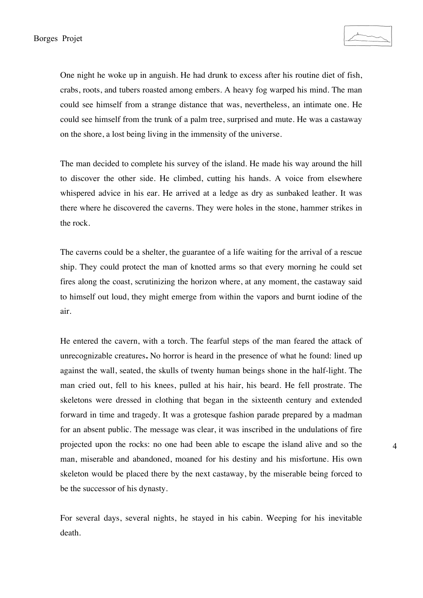One night he woke up in anguish. He had drunk to excess after his routine diet of fish, crabs, roots, and tubers roasted among embers. A heavy fog warped his mind. The man could see himself from a strange distance that was, nevertheless, an intimate one. He could see himself from the trunk of a palm tree, surprised and mute. He was a castaway on the shore, a lost being living in the immensity of the universe.

The man decided to complete his survey of the island. He made his way around the hill to discover the other side. He climbed, cutting his hands. A voice from elsewhere whispered advice in his ear. He arrived at a ledge as dry as sunbaked leather. It was there where he discovered the caverns. They were holes in the stone, hammer strikes in the rock.

The caverns could be a shelter, the guarantee of a life waiting for the arrival of a rescue ship. They could protect the man of knotted arms so that every morning he could set fires along the coast, scrutinizing the horizon where, at any moment, the castaway said to himself out loud, they might emerge from within the vapors and burnt iodine of the air.

He entered the cavern, with a torch. The fearful steps of the man feared the attack of unrecognizable creatures**.** No horror is heard in the presence of what he found: lined up against the wall, seated, the skulls of twenty human beings shone in the half-light. The man cried out, fell to his knees, pulled at his hair, his beard. He fell prostrate. The skeletons were dressed in clothing that began in the sixteenth century and extended forward in time and tragedy. It was a grotesque fashion parade prepared by a madman for an absent public. The message was clear, it was inscribed in the undulations of fire projected upon the rocks: no one had been able to escape the island alive and so the man, miserable and abandoned, moaned for his destiny and his misfortune. His own skeleton would be placed there by the next castaway, by the miserable being forced to be the successor of his dynasty.

For several days, several nights, he stayed in his cabin. Weeping for his inevitable death.